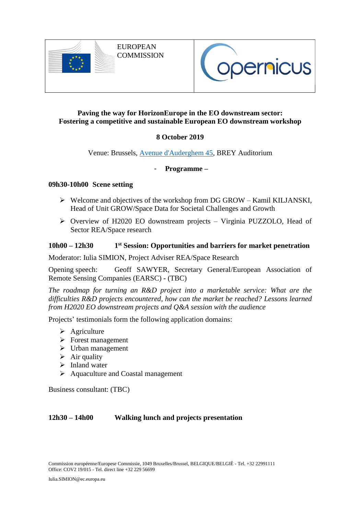

EUROPEAN **COMMISSION** 



## **Paving the way for HorizonEurope in the EO downstream sector: Fostering a competitive and sustainable European EO downstream workshop**

# **8 October 2019**

Venue: Brussels, [Avenue d'Auderghem 45,](http://maps.google.com/maps/place?q=45+Avenue+d%27Auderghem,+Etterbeek,+Bruxelles+1040,+Belgique&hl=en&ftid=0x47c3c4a235dff301:0xcd6e583be0e5387d) BREY Auditorium

## - **Programme –**

### **09h30-10h00 Scene setting**

- $\triangleright$  Welcome and objectives of the workshop from DG GROW Kamil KILJANSKI, Head of Unit GROW/Space Data for Societal Challenges and Growth
- Overview of H2020 EO downstream projects Virginia PUZZOLO, Head of Sector REA/Space research

#### **10h00 – 12h30 1 st Session: Opportunities and barriers for market penetration**

Moderator: Iulia SIMION, Project Adviser REA/Space Research

Opening speech: Geoff SAWYER, Secretary General/European Association of Remote Sensing Companies (EARSC) - (TBC)

*The roadmap for turning an R&D project into a marketable service: What are the difficulties R&D projects encountered, how can the market be reached? Lessons learned from H2020 EO downstream projects and Q&A session with the audience*

Projects' testimonials form the following application domains:

- $\triangleright$  Agriculture
- $\triangleright$  Forest management
- $\triangleright$  Urban management
- $\triangleright$  Air quality
- $\triangleright$  Inland water
- $\triangleright$  Aquaculture and Coastal management

Business consultant: (TBC)

## **12h30 – 14h00 Walking lunch and projects presentation**